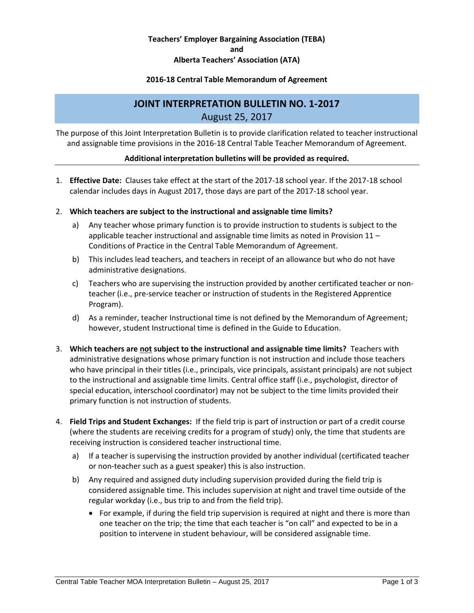# **Teachers' Employer Bargaining Association (TEBA) and Alberta Teachers' Association (ATA)**

## **2016-18 Central Table Memorandum of Agreement**

# **JOINT INTERPRETATION BULLETIN NO. 1-2017** August 25, 2017

The purpose of this Joint Interpretation Bulletin is to provide clarification related to teacher instructional and assignable time provisions in the 2016-18 Central Table Teacher Memorandum of Agreement.

#### **Additional interpretation bulletins will be provided as required.**

1. **Effective Date:** Clauses take effect at the start of the 2017-18 school year. If the 2017-18 school calendar includes days in August 2017, those days are part of the 2017-18 school year.

#### 2. **Which teachers are subject to the instructional and assignable time limits?**

- a) Any teacher whose primary function is to provide instruction to students is subject to the applicable teacher instructional and assignable time limits as noted in Provision 11 – Conditions of Practice in the Central Table Memorandum of Agreement.
- b) This includes lead teachers, and teachers in receipt of an allowance but who do not have administrative designations.
- c) Teachers who are supervising the instruction provided by another certificated teacher or nonteacher (i.e., pre-service teacher or instruction of students in the Registered Apprentice Program).
- d) As a reminder, teacher Instructional time is not defined by the Memorandum of Agreement; however, student Instructional time is defined in the Guide to Education.
- 3. **Which teachers are not subject to the instructional and assignable time limits?** Teachers with administrative designations whose primary function is not instruction and include those teachers who have principal in their titles (i.e., principals, vice principals, assistant principals) are not subject to the instructional and assignable time limits. Central office staff (i.e., psychologist, director of special education, interschool coordinator) may not be subject to the time limits provided their primary function is not instruction of students.
- 4. **Field Trips and Student Exchanges:** If the field trip is part of instruction or part of a credit course (where the students are receiving credits for a program of study) only, the time that students are receiving instruction is considered teacher instructional time.
	- a) If a teacher is supervising the instruction provided by another individual (certificated teacher or non-teacher such as a guest speaker) this is also instruction.
	- b) Any required and assigned duty including supervision provided during the field trip is considered assignable time. This includes supervision at night and travel time outside of the regular workday (i.e., bus trip to and from the field trip).
		- For example, if during the field trip supervision is required at night and there is more than one teacher on the trip; the time that each teacher is "on call" and expected to be in a position to intervene in student behaviour, will be considered assignable time.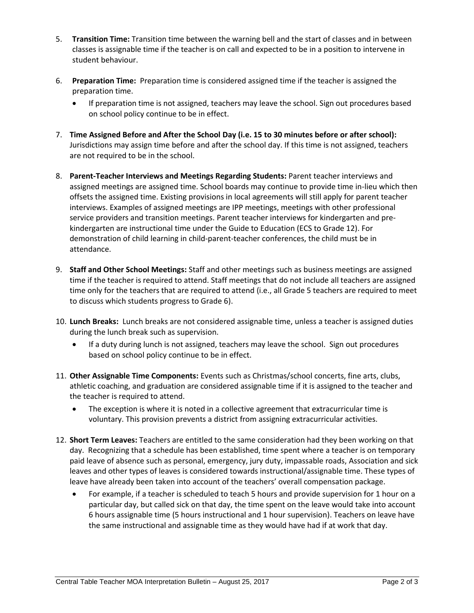- 5. **Transition Time:** Transition time between the warning bell and the start of classes and in between classes is assignable time if the teacher is on call and expected to be in a position to intervene in student behaviour.
- 6. **Preparation Time:**Preparation time is considered assigned time if the teacher is assigned the preparation time.
	- If preparation time is not assigned, teachers may leave the school. Sign out procedures based on school policy continue to be in effect.
- 7. **Time Assigned Before and After the School Day (i.e. 15 to 30 minutes before or after school):** Jurisdictions may assign time before and after the school day. If this time is not assigned, teachers are not required to be in the school.
- 8. **Parent-Teacher Interviews and Meetings Regarding Students:** Parent teacher interviews and assigned meetings are assigned time. School boards may continue to provide time in-lieu which then offsets the assigned time. Existing provisions in local agreements will still apply for parent teacher interviews. Examples of assigned meetings are IPP meetings, meetings with other professional service providers and transition meetings. Parent teacher interviews for kindergarten and prekindergarten are instructional time under the Guide to Education (ECS to Grade 12). For demonstration of child learning in child-parent-teacher conferences, the child must be in attendance.
- 9. **Staff and Other School Meetings:** Staff and other meetings such as business meetings are assigned time if the teacher is required to attend. Staff meetings that do not include all teachers are assigned time only for the teachers that are required to attend (i.e., all Grade 5 teachers are required to meet to discuss which students progress to Grade 6).
- 10. **Lunch Breaks:** Lunch breaks are not considered assignable time, unless a teacher is assigned duties during the lunch break such as supervision.
	- If a duty during lunch is not assigned, teachers may leave the school. Sign out procedures based on school policy continue to be in effect.
- 11. **Other Assignable Time Components:** Events such as Christmas/school concerts, fine arts, clubs, athletic coaching, and graduation are considered assignable time if it is assigned to the teacher and the teacher is required to attend.
	- The exception is where it is noted in a collective agreement that extracurricular time is voluntary. This provision prevents a district from assigning extracurricular activities.
- 12. **Short Term Leaves:** Teachers are entitled to the same consideration had they been working on that day. Recognizing that a schedule has been established, time spent where a teacher is on temporary paid leave of absence such as personal, emergency, jury duty, impassable roads, Association and sick leaves and other types of leaves is considered towards instructional/assignable time. These types of leave have already been taken into account of the teachers' overall compensation package.
	- For example, if a teacher is scheduled to teach 5 hours and provide supervision for 1 hour on a particular day, but called sick on that day, the time spent on the leave would take into account 6 hours assignable time (5 hours instructional and 1 hour supervision). Teachers on leave have the same instructional and assignable time as they would have had if at work that day.